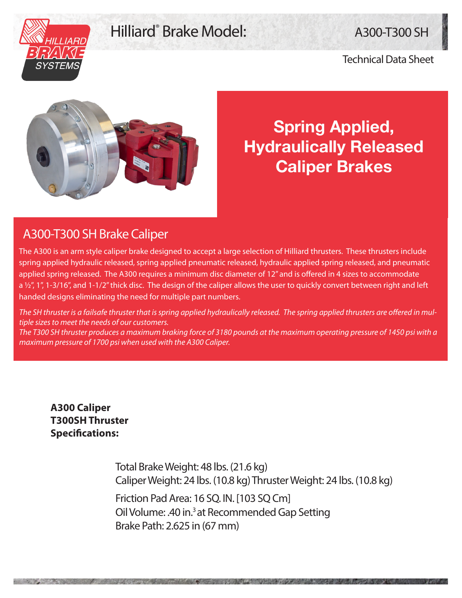# Hilliard<sup>®</sup> Brake Model: A300-T300 SH



### Technical Data Sheet



# **Spring Applied, Hydraulically Released Caliper Brakes**

## A300-T300 SH Brake Caliper

The A300 is an arm style caliper brake designed to accept a large selection of Hilliard thrusters. These thrusters include spring applied hydraulic released, spring applied pneumatic released, hydraulic applied spring released, and pneumatic applied spring released. The A300 requires a minimum disc diameter of 12" and is offered in 4 sizes to accommodate a  $\frac{1}{2}$ , 1", 1-3/16", and 1-1/2" thick disc. The design of the caliper allows the user to quickly convert between right and left handed designs eliminating the need for multiple part numbers.

*The SH thruster is a failsafe thruster that is spring applied hydraulically released. The spring applied thrusters are offered in multiple sizes to meet the needs of our customers.* 

*The T300 SH thruster produces a maximum braking force of 3180 pounds at the maximum operating pressure of 1450 psi with a maximum pressure of 1700 psi when used with the A300 Caliper.*

**A300 Caliper T300SH Thruster Specifications:**

> Total Brake Weight: 48 lbs. (21.6 kg) Caliper Weight: 24 lbs. (10.8 kg) Thruster Weight: 24 lbs. (10.8 kg) Friction Pad Area: 16 SQ. IN. [103 SQ Cm] Oil Volume: .40 in.<sup>3</sup> at Recommended Gap Setting Brake Path: 2.625 in (67 mm)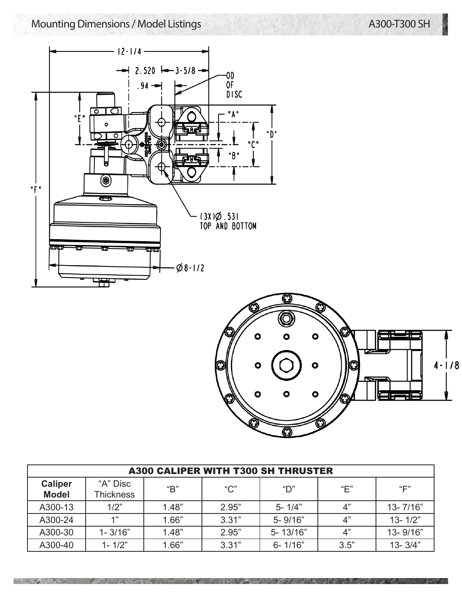## Mounting Dimensions / Model Listings A300-T300 SH

**SECOND CONTRACTOR** 







**STAGE &** 

| <b>A300 CALIPER WITH T300 SH THRUSTER</b> |                              |                           |         |             |      |              |  |
|-------------------------------------------|------------------------------|---------------------------|---------|-------------|------|--------------|--|
| Caliper<br><b>Model</b>                   | "A" Disc<br><b>Thickness</b> | $\mathrm{H}^{\mathrm{m}}$ | " $C$ " | "D"         | "F"  | "F"          |  |
| A300-13                                   | 1/2"                         | 1.48"                     | 2.95"   | $5 - 1/4"$  | 4"   | $13 - 7/16"$ |  |
| A300-24                                   | 1"                           | 1.66"                     | 3.31"   | $5 - 9/16"$ | 4"   | $13 - 1/2"$  |  |
| A300-30                                   | $1 - 3/16"$                  | 1.48"                     | 2.95"   | 5-13/16"    | 4"   | 13-9/16"     |  |
| A300-40                                   | $1 - 1/2"$                   | 1.66"                     | 3.31"   | $6 - 1/16"$ | 3.5" | $13 - 3/4"$  |  |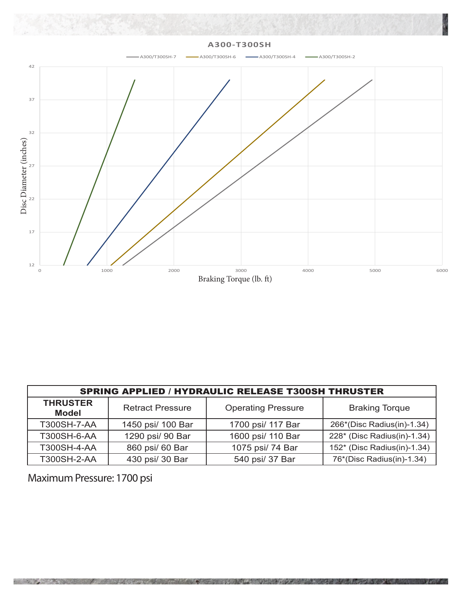

| <b>SPRING APPLIED / HYDRAULIC RELEASE T300SH THRUSTER</b> |                         |                           |                             |  |  |  |
|-----------------------------------------------------------|-------------------------|---------------------------|-----------------------------|--|--|--|
| <b>THRUSTER</b><br><b>Model</b>                           | <b>Retract Pressure</b> | <b>Operating Pressure</b> | <b>Braking Torque</b>       |  |  |  |
| T300SH-7-AA                                               | 1450 psi/ 100 Bar       | 1700 psi/ 117 Bar         | 266*(Disc Radius(in)-1.34)  |  |  |  |
| T300SH-6-AA                                               | 1290 psi/ 90 Bar        | 1600 psi/ 110 Bar         | 228* (Disc Radius(in)-1.34) |  |  |  |
| T300SH-4-AA                                               | 860 psi/ 60 Bar         | 1075 psi/ 74 Bar          | 152* (Disc Radius(in)-1.34) |  |  |  |
| T300SH-2-AA                                               | 430 psi/ 30 Bar         | 540 psi/ 37 Bar           | 76*(Disc Radius(in)-1.34)   |  |  |  |

and the second company of the second company of the second company of the second company of the second company

1779

Maximum Pressure: 1700 psi

编制